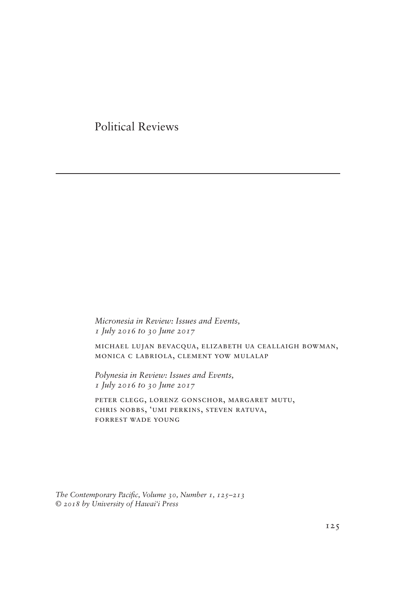# Political Reviews

*Micronesia in Review: Issues and Events, 1 July 2016 to 30 June 2017*

michael lujan bevacqua, elizabeth ua ceallaigh bowman, monica c labriola, clement yow mulalap

*Polynesia in Review: Issues and Events, 1 July 2016 to 30 June 2017*

peter clegg, lorenz gonschor, margaret mutu, chris nobbs, 'umi perkins, steven ratuva, forrest wade young

*The Contemporary Pacific, Volume 30, Number 1, 125-213 © 2018 by University of Hawai'i Press*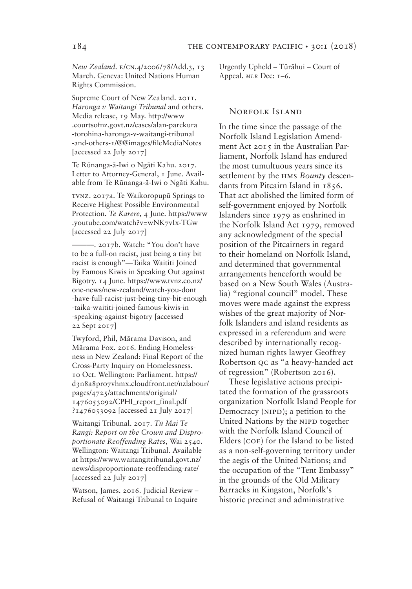*New Zealand.* e/cn.4/2006/78/Add.3, 13 March. Geneva: United Nations Human Rights Commission.

Supreme Court of New Zealand. 2011. *Haronga v Waitangi Tribunal* and others. Media release, 19 May. http://www .courtsofnz.govt.nz/cases/alan-parekura -torohina-haronga-v-waitangi-tribunal -and-others-1/@@images/fileMediaNotes [accessed 22 July 2017]

Te Rūnanga-ā-Iwi o Ngāti Kahu. 2017. Letter to Attorney-General, 1 June. Available from Te Rūnanga-ā-Iwi o Ngāti Kahu.

tvnz. 2017a. Te Waikoropupū Springs to Receive Highest Possible Environmental Protection. *Te Karere,* 4 June. https://www .youtube.com/watch?v=wNK7vIx-TGw [accessed 22 July 2017]

———. 2017b. Watch: "You don't have to be a full-on racist, just being a tiny bit racist is enough"—Taika Waititi Joined by Famous Kiwis in Speaking Out against Bigotry. 14 June. https://www.tvnz.co.nz/ one-news/new-zealand/watch-you-dont -have-full-racist-just-being-tiny-bit-enough -taika-waititi-joined-famous-kiwis-in -speaking-against-bigotry [accessed 22 Sept 2017]

Twyford, Phil, Mārama Davison, and Mārama Fox. 2016. Ending Homelessness in New Zealand: Final Report of the Cross-Party Inquiry on Homelessness. 10 Oct. Wellington: Parliament. https:// d3n8a8pro7vhmx.cloudfront.net/nzlabour/ pages/4725/attachments/original/ 1476053092/CPHI\_report\_final.pdf ?1476053092 [accessed 21 July 2017]

Waitangi Tribunal. 2017. *Tū Mai Te Rangi: Report on the Crown and Disproportionate Reoffending Rates*, Wai 2540. Wellington: Waitangi Tribunal. Available at https://www.waitangitribunal.govt.nz/ news/disproportionate-reoffending-rate/ [accessed 22 July 2017]

Watson, James. 2016. Judicial Review – Refusal of Waitangi Tribunal to Inquire Urgently Upheld – Tūrāhui – Court of Appeal. *mlr* Dec: 1–6.

## NORFOLK ISLAND

In the time since the passage of the Norfolk Island Legislation Amendment Act 2015 in the Australian Parliament, Norfolk Island has endured the most tumultuous years since its settlement by the hms *Bounty* descendants from Pitcairn Island in 1856. That act abolished the limited form of self-government enjoyed by Norfolk Islanders since 1979 as enshrined in the Norfolk Island Act 1979, removed any acknowledgment of the special position of the Pitcairners in regard to their homeland on Norfolk Island, and determined that governmental arrangements henceforth would be based on a New South Wales (Australia) "regional council" model. These moves were made against the express wishes of the great majority of Norfolk Islanders and island residents as expressed in a referendum and were described by internationally recognized human rights lawyer Geoffrey Robertson qc as "a heavy-handed act of regression" (Robertson 2016).

These legislative actions precipitated the formation of the grassroots organization Norfolk Island People for Democracy (NIPD); a petition to the United Nations by the NIPD together with the Norfolk Island Council of Elders (coe) for the Island to be listed as a non-self-governing territory under the aegis of the United Nations; and the occupation of the "Tent Embassy" in the grounds of the Old Military Barracks in Kingston, Norfolk's historic precinct and administrative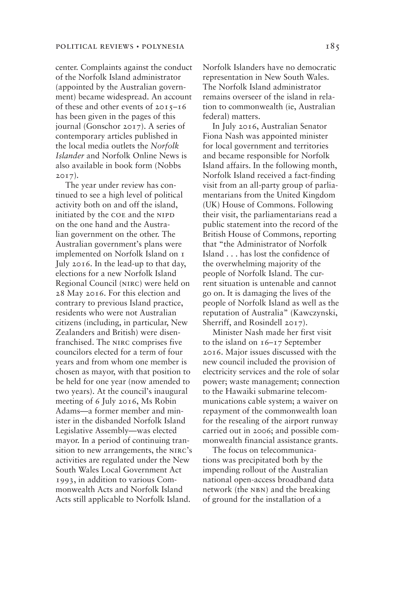center. Complaints against the conduct of the Norfolk Island administrator (appointed by the Australian government) became widespread. An account of these and other events of 2015–16 has been given in the pages of this journal (Gonschor 2017). A series of contemporary articles published in the local media outlets the *Norfolk Islander* and Norfolk Online News is also available in book form (Nobbs 2017).

The year under review has continued to see a high level of political activity both on and off the island, initiated by the COE and the NIPD on the one hand and the Australian government on the other. The Australian government's plans were implemented on Norfolk Island on 1 July 2016. In the lead-up to that day, elections for a new Norfolk Island Regional Council (nirc) were held on 28 May 2016. For this election and contrary to previous Island practice, residents who were not Australian citizens (including, in particular, New Zealanders and British) were disenfranchised. The nirc comprises five councilors elected for a term of four years and from whom one member is chosen as mayor, with that position to be held for one year (now amended to two years). At the council's inaugural meeting of 6 July 2016, Ms Robin Adams—a former member and minister in the disbanded Norfolk Island Legislative Assembly—was elected mayor. In a period of continuing transition to new arrangements, the NIRC's activities are regulated under the New South Wales Local Government Act 1993, in addition to various Commonwealth Acts and Norfolk Island Acts still applicable to Norfolk Island.

Norfolk Islanders have no democratic representation in New South Wales. The Norfolk Island administrator remains overseer of the island in relation to commonwealth (ie, Australian federal) matters.

In July 2016, Australian Senator Fiona Nash was appointed minister for local government and territories and became responsible for Norfolk Island affairs. In the following month, Norfolk Island received a fact-finding visit from an all-party group of parliamentarians from the United Kingdom (UK) House of Commons. Following their visit, the parliamentarians read a public statement into the record of the British House of Commons, reporting that "the Administrator of Norfolk Island . . . has lost the confidence of the overwhelming majority of the people of Norfolk Island. The current situation is untenable and cannot go on. It is damaging the lives of the people of Norfolk Island as well as the reputation of Australia" (Kawczynski, Sherriff, and Rosindell 2017).

Minister Nash made her first visit to the island on 16–17 September 2016. Major issues discussed with the new council included the provision of electricity services and the role of solar power; waste management; connection to the Hawaiki submarine telecommunications cable system; a waiver on repayment of the commonwealth loan for the resealing of the airport runway carried out in 2006; and possible commonwealth financial assistance grants.

The focus on telecommunications was precipitated both by the impending rollout of the Australian national open-access broadband data network (the NBN) and the breaking of ground for the installation of a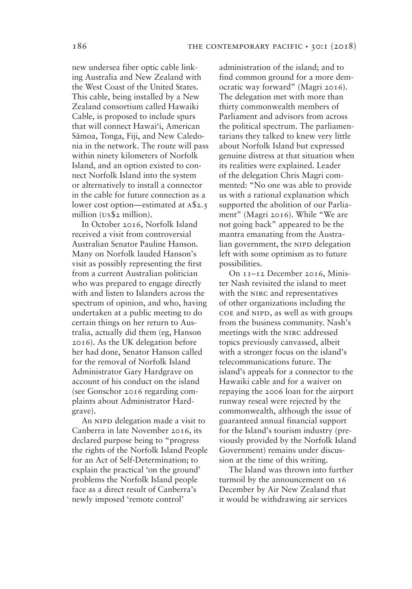new undersea fiber optic cable linking Australia and New Zealand with the West Coast of the United States. This cable, being installed by a New Zealand consortium called Hawaiki Cable, is proposed to include spurs that will connect Hawai'i, American Sāmoa, Tonga, Fiji, and New Caledonia in the network. The route will pass within ninety kilometers of Norfolk Island, and an option existed to connect Norfolk Island into the system or alternatively to install a connector in the cable for future connection as a lower cost option—estimated at a\$2.5 million (us\$2 million).

In October 2016, Norfolk Island received a visit from controversial Australian Senator Pauline Hanson. Many on Norfolk lauded Hanson's visit as possibly representing the first from a current Australian politician who was prepared to engage directly with and listen to Islanders across the spectrum of opinion, and who, having undertaken at a public meeting to do certain things on her return to Australia, actually did them (eg, Hanson 2016). As the UK delegation before her had done, Senator Hanson called for the removal of Norfolk Island Administrator Gary Hardgrave on account of his conduct on the island (see Gonschor 2016 regarding complaints about Administrator Hardgrave).

An NIPD delegation made a visit to Canberra in late November 2016, its declared purpose being to "progress the rights of the Norfolk Island People for an Act of Self-Determination; to explain the practical 'on the ground' problems the Norfolk Island people face as a direct result of Canberra's newly imposed 'remote control'

administration of the island; and to find common ground for a more democratic way forward" (Magri 2016). The delegation met with more than thirty commonwealth members of Parliament and advisors from across the political spectrum. The parliamentarians they talked to knew very little about Norfolk Island but expressed genuine distress at that situation when its realities were explained. Leader of the delegation Chris Magri commented: "No one was able to provide us with a rational explanation which supported the abolition of our Parliament" (Magri 2016). While "We are not going back" appeared to be the mantra emanating from the Australian government, the NIPD delegation left with some optimism as to future possibilities.

On 11–12 December 2016, Minister Nash revisited the island to meet with the NIRC and representatives of other organizations including the coe and nipd, as well as with groups from the business community. Nash's meetings with the nirc addressed topics previously canvassed, albeit with a stronger focus on the island's telecommunications future. The island's appeals for a connector to the Hawaiki cable and for a waiver on repaying the 2006 loan for the airport runway reseal were rejected by the commonwealth, although the issue of guaranteed annual financial support for the Island's tourism industry (previously provided by the Norfolk Island Government) remains under discussion at the time of this writing.

The Island was thrown into further turmoil by the announcement on 16 December by Air New Zealand that it would be withdrawing air services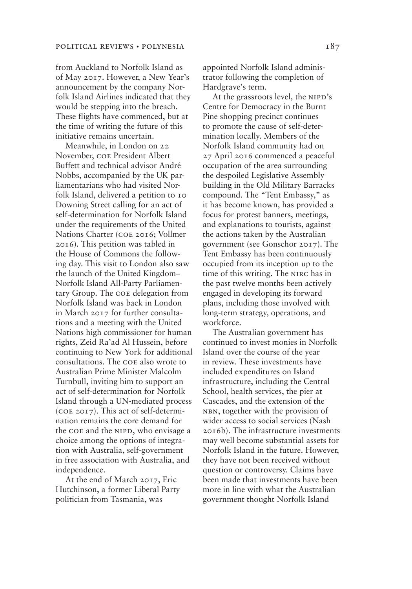from Auckland to Norfolk Island as of May 2017. However, a New Year's announcement by the company Norfolk Island Airlines indicated that they would be stepping into the breach. These flights have commenced, but at the time of writing the future of this initiative remains uncertain.

Meanwhile, in London on 22 November, coe President Albert Buffett and technical advisor André Nobbs, accompanied by the UK parliamentarians who had visited Norfolk Island, delivered a petition to 10 Downing Street calling for an act of self-determination for Norfolk Island under the requirements of the United Nations Charter (coe 2016; Vollmer 2016). This petition was tabled in the House of Commons the following day. This visit to London also saw the launch of the United Kingdom– Norfolk Island All-Party Parliamentary Group. The coe delegation from Norfolk Island was back in London in March 2017 for further consultations and a meeting with the United Nations high commissioner for human rights, Zeid Ra'ad Al Hussein, before continuing to New York for additional consultations. The coe also wrote to Australian Prime Minister Malcolm Turnbull, inviting him to support an act of self-determination for Norfolk Island through a UN-mediated process (coe 2017). This act of self-determination remains the core demand for the COE and the NIPD, who envisage a choice among the options of integration with Australia, self-government in free association with Australia, and independence.

At the end of March 2017, Eric Hutchinson, a former Liberal Party politician from Tasmania, was

appointed Norfolk Island administrator following the completion of Hardgrave's term.

At the grassroots level, the NIPD's Centre for Democracy in the Burnt Pine shopping precinct continues to promote the cause of self-determination locally. Members of the Norfolk Island community had on 27 April 2016 commenced a peaceful occupation of the area surrounding the despoiled Legislative Assembly building in the Old Military Barracks compound. The "Tent Embassy," as it has become known, has provided a focus for protest banners, meetings, and explanations to tourists, against the actions taken by the Australian government (see Gonschor 2017). The Tent Embassy has been continuously occupied from its inception up to the time of this writing. The nirc has in the past twelve months been actively engaged in developing its forward plans, including those involved with long-term strategy, operations, and workforce.

The Australian government has continued to invest monies in Norfolk Island over the course of the year in review. These investments have included expenditures on Island infrastructure, including the Central School, health services, the pier at Cascades, and the extension of the NBN, together with the provision of wider access to social services (Nash 2016b). The infrastructure investments may well become substantial assets for Norfolk Island in the future. However, they have not been received without question or controversy. Claims have been made that investments have been more in line with what the Australian government thought Norfolk Island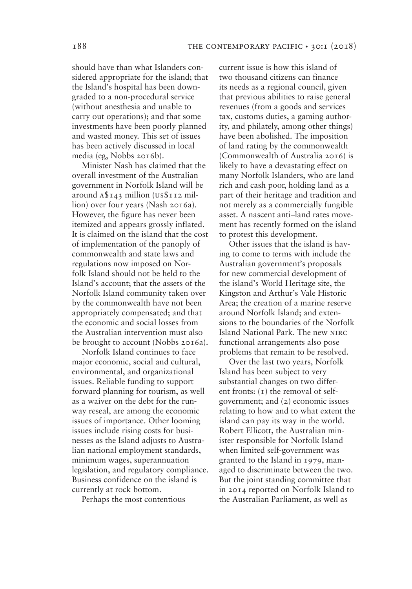should have than what Islanders considered appropriate for the island; that the Island's hospital has been downgraded to a non-procedural service (without anesthesia and unable to carry out operations); and that some investments have been poorly planned and wasted money. This set of issues has been actively discussed in local media (eg, Nobbs 2016b).

Minister Nash has claimed that the overall investment of the Australian government in Norfolk Island will be around a\$143 million (us\$112 million) over four years (Nash 2016a). However, the figure has never been itemized and appears grossly inflated. It is claimed on the island that the cost of implementation of the panoply of commonwealth and state laws and regulations now imposed on Norfolk Island should not be held to the Island's account; that the assets of the Norfolk Island community taken over by the commonwealth have not been appropriately compensated; and that the economic and social losses from the Australian intervention must also be brought to account (Nobbs 2016a).

Norfolk Island continues to face major economic, social and cultural, environmental, and organizational issues. Reliable funding to support forward planning for tourism, as well as a waiver on the debt for the runway reseal, are among the economic issues of importance. Other looming issues include rising costs for businesses as the Island adjusts to Australian national employment standards, minimum wages, superannuation legislation, and regulatory compliance. Business confidence on the island is currently at rock bottom.

Perhaps the most contentious

current issue is how this island of two thousand citizens can finance its needs as a regional council, given that previous abilities to raise general revenues (from a goods and services tax, customs duties, a gaming authority, and philately, among other things) have been abolished. The imposition of land rating by the commonwealth (Commonwealth of Australia 2016) is likely to have a devastating effect on many Norfolk Islanders, who are land rich and cash poor, holding land as a part of their heritage and tradition and not merely as a commercially fungible asset. A nascent anti–land rates movement has recently formed on the island to protest this development.

Other issues that the island is having to come to terms with include the Australian government's proposals for new commercial development of the island's World Heritage site, the Kingston and Arthur's Vale Historic Area; the creation of a marine reserve around Norfolk Island; and extensions to the boundaries of the Norfolk Island National Park. The new nirc functional arrangements also pose problems that remain to be resolved.

Over the last two years, Norfolk Island has been subject to very substantial changes on two different fronts:  $(I)$  the removal of selfgovernment; and (2) economic issues relating to how and to what extent the island can pay its way in the world. Robert Ellicott, the Australian minister responsible for Norfolk Island when limited self-government was granted to the Island in 1979, managed to discriminate between the two. But the joint standing committee that in 2014 reported on Norfolk Island to the Australian Parliament, as well as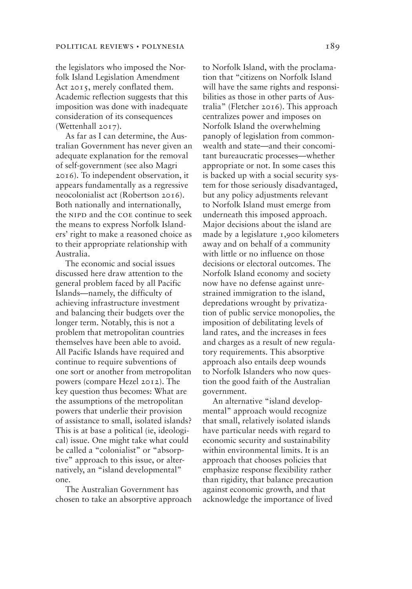the legislators who imposed the Norfolk Island Legislation Amendment Act 2015, merely conflated them. Academic reflection suggests that this imposition was done with inadequate consideration of its consequences (Wettenhall 2017).

As far as I can determine, the Australian Government has never given an adequate explanation for the removal of self-government (see also Magri 2016). To independent observation, it appears fundamentally as a regressive neocolonialist act (Robertson 2016). Both nationally and internationally, the NIPD and the COE continue to seek the means to express Norfolk Islanders' right to make a reasoned choice as to their appropriate relationship with Australia.

The economic and social issues discussed here draw attention to the general problem faced by all Pacific Islands—namely, the difficulty of achieving infrastructure investment and balancing their budgets over the longer term. Notably, this is not a problem that metropolitan countries themselves have been able to avoid. All Pacific Islands have required and continue to require subventions of one sort or another from metropolitan powers (compare Hezel 2012). The key question thus becomes: What are the assumptions of the metropolitan powers that underlie their provision of assistance to small, isolated islands? This is at base a political (ie, ideological) issue. One might take what could be called a "colonialist" or "absorptive" approach to this issue, or alternatively, an "island developmental" one.

The Australian Government has chosen to take an absorptive approach

to Norfolk Island, with the proclamation that "citizens on Norfolk Island will have the same rights and responsibilities as those in other parts of Australia" (Fletcher 2016). This approach centralizes power and imposes on Norfolk Island the overwhelming panoply of legislation from commonwealth and state—and their concomitant bureaucratic processes—whether appropriate or not. In some cases this is backed up with a social security system for those seriously disadvantaged, but any policy adjustments relevant to Norfolk Island must emerge from underneath this imposed approach. Major decisions about the island are made by a legislature 1,900 kilometers away and on behalf of a community with little or no influence on those decisions or electoral outcomes. The Norfolk Island economy and society now have no defense against unrestrained immigration to the island, depredations wrought by privatization of public service monopolies, the imposition of debilitating levels of land rates, and the increases in fees and charges as a result of new regulatory requirements. This absorptive approach also entails deep wounds to Norfolk Islanders who now question the good faith of the Australian government.

An alternative "island developmental" approach would recognize that small, relatively isolated islands have particular needs with regard to economic security and sustainability within environmental limits. It is an approach that chooses policies that emphasize response flexibility rather than rigidity, that balance precaution against economic growth, and that acknowledge the importance of lived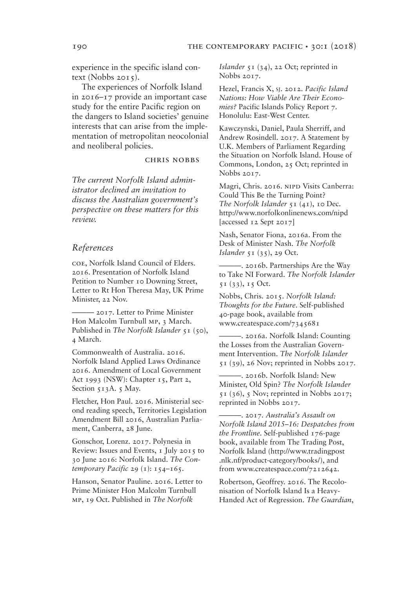experience in the specific island context (Nobbs 2015).

The experiences of Norfolk Island in 2016–17 provide an important case study for the entire Pacific region on the dangers to Island societies' genuine interests that can arise from the implementation of metropolitan neocolonial and neoliberal policies.

### chris nobbs

*The current Norfolk Island administrator declined an invitation to discuss the Australian government's perspective on these matters for this review.*

#### *References*

coe, Norfolk Island Council of Elders. 2016. Presentation of Norfolk Island Petition to Number 10 Downing Street, Letter to Rt Hon Theresa May, UK Prime Minister, 22 Nov.

——— 2017. Letter to Prime Minister Hon Malcolm Turnbull MP, 3 March. Published in *The Norfolk Islander* 51 (50), 4 March.

Commonwealth of Australia. 2016. Norfolk Island Applied Laws Ordinance 2016. Amendment of Local Government Act 1993 (NSW): Chapter 15, Part 2, Section 513A. 5 May.

Fletcher, Hon Paul. 2016. Ministerial second reading speech, Territories Legislation Amendment Bill 2016, Australian Parliament, Canberra, 28 June.

Gonschor, Lorenz. 2017. Polynesia in Review: Issues and Events, 1 July 2015 to 30 June 2016: Norfolk Island. *The Contemporary Pacific* 29 (1): 154–165.

Hanson, Senator Pauline. 2016. Letter to Prime Minister Hon Malcolm Turnbull mp, 19 Oct. Published in *The Norfolk* 

*Islander* 51 (34), 22 Oct; reprinted in Nobbs 2017.

Hezel, Francis X, sj. 2012. *Pacific Island Nations: How Viable Are Their Economies?* Pacific Islands Policy Report 7. Honolulu: East-West Center.

Kawczynski, Daniel, Paula Sherriff, and Andrew Rosindell. 2017. A Statement by U.K. Members of Parliament Regarding the Situation on Norfolk Island. House of Commons, London, 25 Oct; reprinted in Nobbs 2017.

Magri, Chris. 2016. nipd Visits Canberra: Could This Be the Turning Point? *The Norfolk Islander* 51 (41), 10 Dec. http://www.norfolkonlinenews.com/nipd [accessed 12 Sept 2017]

Nash, Senator Fiona, 2016a. From the Desk of Minister Nash. *The Norfolk Islander* 51 (35), 29 Oct.

———. 2016b. Partnerships Are the Way to Take NI Forward. *The Norfolk Islander* 51 (33), 15 Oct.

Nobbs, Chris. 2015. *Norfolk Island: Thoughts for the Future*. Self-published 40-page book, available from www.createspace.com/7345681

———. 2016a. Norfolk Island: Counting the Losses from the Australian Government Intervention. *The Norfolk Islander* 51 (39), 26 Nov; reprinted in Nobbs 2017.

———. 2016b. Norfolk Island: New Minister, Old Spin? *The Norfolk Islander* 51 (36), 5 Nov; reprinted in Nobbs 2017; reprinted in Nobbs 2017.

———. 2017. *Australia's Assault on Norfolk Island 2015–16: Despatches from the Frontline.* Self-published 176-page book, available from The Trading Post, Norfolk Island (http://www.tradingpost .nlk.nf/product-category/books/), and from www.createspace.com/7212642.

Robertson, Geoffrey. 2016. The Recolonisation of Norfolk Island Is a Heavy-Handed Act of Regression. *The Guardian*,